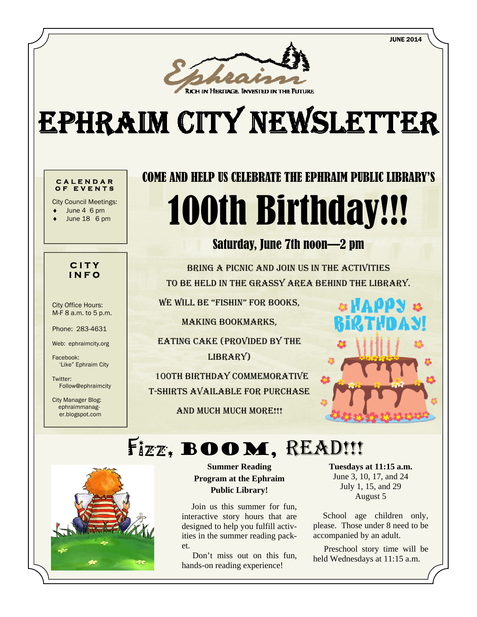JUNE 2014



# EPHRAIM CITY NEWSLETTER

#### **CALENDAR OF EVENTS**

City Council Meetings:

- June 4 6 pm
- June 18 6 pm

#### **CITY INFO**

City Office Hours: M-F 8 a.m. to 5 p.m.

Phone: 283-4631

Web: ephraimcity.org

Facebook: 'Like" Ephraim City

Twitter: Follow@ephraimcity

City Manager Blog: ephraimmanager.blogspot.com

## COME AND HELP US CELEBRATE THE EPHRAIM PUBLIC LIBRARY'S 100th Birthday!!!

## Saturday, June 7th noon—2 pm

BRING A PICNIC AND JOIN US IN THE ACTIVITIES TO BE HELD IN THE GRASSY AREA BEHIND THE LIBRARY.

WE WILL BE "FISHIN" FOR BOOKS,

MAKING BOOKMARKS,

EATING CAKE (PROVIDED BY THE LIBRARY)

 100TH BIRTHDAY COMMEMORATIVE T-SHIRTS AVAILABLE FOR PURCHASE

AND MUCH MUCH MORE!!!



## Fizz, BOOM, READ!!!



**Summer Reading Program at the Ephraim Public Library!** 

 Join us this summer for fun, interactive story hours that are designed to help you fulfill activities in the summer reading packet.

 Don't miss out on this fun, hands-on reading experience!

**Tuesdays at 11:15 a.m.**  June 3, 10, 17, and 24 July 1, 15, and 29 August 5

School age children only, please. Those under 8 need to be accompanied by an adult.

 Preschool story time will be held Wednesdays at 11:15 a.m.